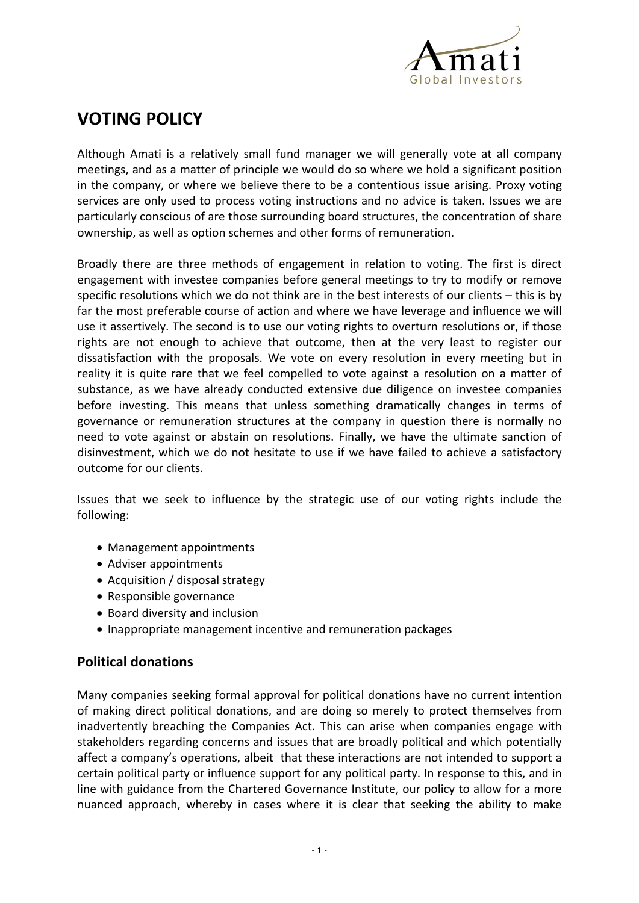

## **VOTING POLICY**

Although Amati is a relatively small fund manager we will generally vote at all company meetings, and as a matter of principle we would do so where we hold a significant position in the company, or where we believe there to be a contentious issue arising. Proxy voting services are only used to process voting instructions and no advice is taken. Issues we are particularly conscious of are those surrounding board structures, the concentration of share ownership, as well as option schemes and other forms of remuneration.

Broadly there are three methods of engagement in relation to voting. The first is direct engagement with investee companies before general meetings to try to modify or remove specific resolutions which we do not think are in the best interests of our clients – this is by far the most preferable course of action and where we have leverage and influence we will use it assertively. The second is to use our voting rights to overturn resolutions or, if those rights are not enough to achieve that outcome, then at the very least to register our dissatisfaction with the proposals. We vote on every resolution in every meeting but in reality it is quite rare that we feel compelled to vote against a resolution on a matter of substance, as we have already conducted extensive due diligence on investee companies before investing. This means that unless something dramatically changes in terms of governance or remuneration structures at the company in question there is normally no need to vote against or abstain on resolutions. Finally, we have the ultimate sanction of disinvestment, which we do not hesitate to use if we have failed to achieve a satisfactory outcome for our clients.

Issues that we seek to influence by the strategic use of our voting rights include the following:

- Management appointments
- Adviser appointments
- Acquisition / disposal strategy
- Responsible governance
- Board diversity and inclusion
- Inappropriate management incentive and remuneration packages

## **Political donations**

Many companies seeking formal approval for political donations have no current intention of making direct political donations, and are doing so merely to protect themselves from inadvertently breaching the Companies Act. This can arise when companies engage with stakeholders regarding concerns and issues that are broadly political and which potentially affect a company's operations, albeit that these interactions are not intended to support a certain political party or influence support for any political party. In response to this, and in line with guidance from the Chartered Governance Institute, our policy to allow for a more nuanced approach, whereby in cases where it is clear that seeking the ability to make